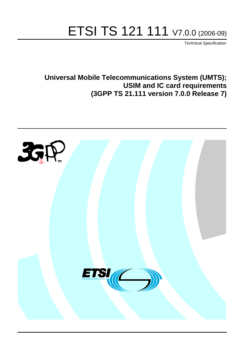# ETSI TS 121 111 V7.0.0 (2006-09)

Technical Specification

**Universal Mobile Telecommunications System (UMTS); USIM and IC card requirements (3GPP TS 21.111 version 7.0.0 Release 7)**

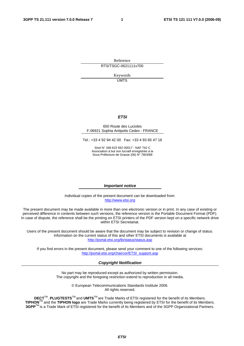Reference RTS/TSGC-0621111v700

> Keywords UMTS

#### **ETSI**

#### 650 Route des Lucioles F-06921 Sophia Antipolis Cedex - FRANCE

Tel.: +33 4 92 94 42 00 Fax: +33 4 93 65 47 16

Siret N° 348 623 562 00017 - NAF 742 C Association à but non lucratif enregistrée à la Sous-Préfecture de Grasse (06) N° 7803/88

#### **Important notice**

Individual copies of the present document can be downloaded from: [http://www.etsi.org](http://www.etsi.org/)

The present document may be made available in more than one electronic version or in print. In any case of existing or perceived difference in contents between such versions, the reference version is the Portable Document Format (PDF). In case of dispute, the reference shall be the printing on ETSI printers of the PDF version kept on a specific network drive within ETSI Secretariat.

Users of the present document should be aware that the document may be subject to revision or change of status. Information on the current status of this and other ETSI documents is available at <http://portal.etsi.org/tb/status/status.asp>

If you find errors in the present document, please send your comment to one of the following services: [http://portal.etsi.org/chaircor/ETSI\\_support.asp](http://portal.etsi.org/chaircor/ETSI_support.asp)

#### **Copyright Notification**

No part may be reproduced except as authorized by written permission. The copyright and the foregoing restriction extend to reproduction in all media.

> © European Telecommunications Standards Institute 2006. All rights reserved.

**DECT**TM, **PLUGTESTS**TM and **UMTS**TM are Trade Marks of ETSI registered for the benefit of its Members. **TIPHON**TM and the **TIPHON logo** are Trade Marks currently being registered by ETSI for the benefit of its Members. **3GPP**TM is a Trade Mark of ETSI registered for the benefit of its Members and of the 3GPP Organizational Partners.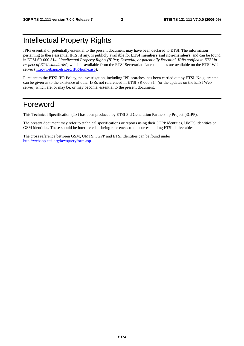# Intellectual Property Rights

IPRs essential or potentially essential to the present document may have been declared to ETSI. The information pertaining to these essential IPRs, if any, is publicly available for **ETSI members and non-members**, and can be found in ETSI SR 000 314: *"Intellectual Property Rights (IPRs); Essential, or potentially Essential, IPRs notified to ETSI in respect of ETSI standards"*, which is available from the ETSI Secretariat. Latest updates are available on the ETSI Web server ([http://webapp.etsi.org/IPR/home.asp\)](http://webapp.etsi.org/IPR/home.asp).

Pursuant to the ETSI IPR Policy, no investigation, including IPR searches, has been carried out by ETSI. No guarantee can be given as to the existence of other IPRs not referenced in ETSI SR 000 314 (or the updates on the ETSI Web server) which are, or may be, or may become, essential to the present document.

### Foreword

This Technical Specification (TS) has been produced by ETSI 3rd Generation Partnership Project (3GPP).

The present document may refer to technical specifications or reports using their 3GPP identities, UMTS identities or GSM identities. These should be interpreted as being references to the corresponding ETSI deliverables.

The cross reference between GSM, UMTS, 3GPP and ETSI identities can be found under [http://webapp.etsi.org/key/queryform.asp.](http://webapp.etsi.org/key/queryform.asp)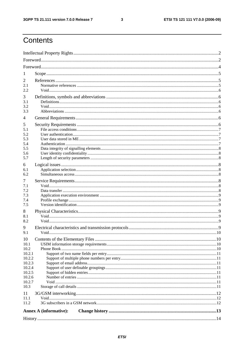$\mathbf{3}$ 

# Contents

| 1                |                               |  |  |  |  |  |
|------------------|-------------------------------|--|--|--|--|--|
| 2                |                               |  |  |  |  |  |
| 2.1              |                               |  |  |  |  |  |
| 2.2.             |                               |  |  |  |  |  |
| 3                |                               |  |  |  |  |  |
| 3.1<br>3.2       |                               |  |  |  |  |  |
| 3.3              |                               |  |  |  |  |  |
| 4                |                               |  |  |  |  |  |
| 5                |                               |  |  |  |  |  |
| 5.1              |                               |  |  |  |  |  |
| 5.2              |                               |  |  |  |  |  |
| 5.3              |                               |  |  |  |  |  |
| 5.4<br>5.5       |                               |  |  |  |  |  |
| 5.6              |                               |  |  |  |  |  |
| 5.7              |                               |  |  |  |  |  |
| 6                |                               |  |  |  |  |  |
| 6.1              |                               |  |  |  |  |  |
| 6.2              |                               |  |  |  |  |  |
| 7                |                               |  |  |  |  |  |
| 7.1              |                               |  |  |  |  |  |
| 7.2              |                               |  |  |  |  |  |
| 7.3<br>7.4       |                               |  |  |  |  |  |
| 7.5              |                               |  |  |  |  |  |
| 8                |                               |  |  |  |  |  |
| 8.1              |                               |  |  |  |  |  |
| 8.2              |                               |  |  |  |  |  |
| 9                |                               |  |  |  |  |  |
| 9.1              |                               |  |  |  |  |  |
| 10               |                               |  |  |  |  |  |
| 10.1             |                               |  |  |  |  |  |
| 10.2             |                               |  |  |  |  |  |
| 10.2.1           |                               |  |  |  |  |  |
| 10.2.2<br>10.2.3 |                               |  |  |  |  |  |
| 10.2.4           |                               |  |  |  |  |  |
| 10.2.5           |                               |  |  |  |  |  |
| 10.2.6           |                               |  |  |  |  |  |
| 10.2.7           |                               |  |  |  |  |  |
| 10.3             |                               |  |  |  |  |  |
| 11               |                               |  |  |  |  |  |
| 11.1<br>11.2     |                               |  |  |  |  |  |
|                  |                               |  |  |  |  |  |
|                  | <b>Annex A (informative):</b> |  |  |  |  |  |
|                  |                               |  |  |  |  |  |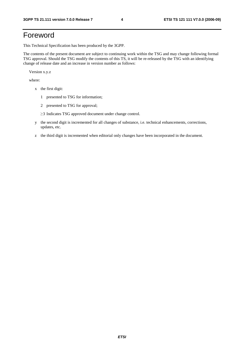# Foreword

This Technical Specification has been produced by the 3GPP.

The contents of the present document are subject to continuing work within the TSG and may change following formal TSG approval. Should the TSG modify the contents of this TS, it will be re-released by the TSG with an identifying change of release date and an increase in version number as follows:

Version x.y.z

where:

- x the first digit:
	- 1 presented to TSG for information;
	- 2 presented to TSG for approval;
	- $\geq$ 3 Indicates TSG approved document under change control.
- y the second digit is incremented for all changes of substance, i.e. technical enhancements, corrections, updates, etc.
- z the third digit is incremented when editorial only changes have been incorporated in the document.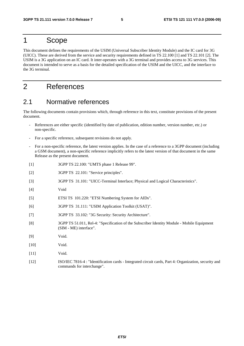### 1 Scope

This document defines the requirements of the USIM (Universal Subscriber Identity Module) and the IC card for 3G (UICC). These are derived from the service and security requirements defined in TS 22.100 [1] and TS 22.101 [2]. The USIM is a 3G application on an IC card. It inter-operates with a 3G terminal and provides access to 3G services. This document is intended to serve as a basis for the detailed specification of the USIM and the UICC, and the interface to the 3G terminal.

# 2 References

#### 2.1 Normative references

The following documents contain provisions which, through reference in this text, constitute provisions of the present document.

- References are either specific (identified by date of publication, edition number, version number, etc.) or non-specific.
- For a specific reference, subsequent revisions do not apply.
- For a non-specific reference, the latest version applies. In the case of a reference to a 3GPP document (including a GSM document), a non-specific reference implicitly refers to the latest version of that document in the same Release as the present document.
- [1] 3GPP TS 22.100: "UMTS phase 1 Release 99".
- [2] 3GPP TS 22.101: "Service principles".
- [3] 3GPP TS 31.101: "UICC-Terminal Interface; Physical and Logical Characteristics".
- [4] Void
- [5] ETSI TS 101.220: "ETSI Numbering System for AIDs".
- [6] 3GPP TS 31.111: "USIM Application Toolkit (USAT)".
- [7] 3GPP TS 33.102: "3G Security: Security Architecture".
- [8] 3GPP TS 51.011, Rel-4: "Specification of the Subscriber Identity Module Mobile Equipment (SIM - ME) interface".
- [9] Void.
- [10] **Void.**
- [11] **Void.**
- [12] ISO/IEC 7816-4 : "Identification cards Integrated circuit cards, Part 4: Organization, security and commands for interchange".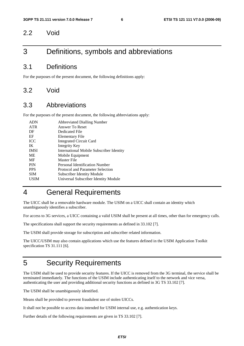#### 2.2 Void

### 3 Definitions, symbols and abbreviations

#### 3.1 Definitions

For the purposes of the present document, the following definitions apply:

#### 3.2 Void

#### 3.3 Abbreviations

For the purposes of the present document, the following abbreviations apply:

| <b>ADN</b>  | <b>Abbreviated Dialling Number</b>              |
|-------------|-------------------------------------------------|
| <b>ATR</b>  | Answer To Reset                                 |
| DF          | Dedicated File                                  |
| EF          | Elementary File                                 |
| <b>ICC</b>  | <b>Integrated Circuit Card</b>                  |
| IK          | Integrity Key                                   |
| <b>IMSI</b> | <b>International Mobile Subscriber Identity</b> |
| ME          | Mobile Equipment                                |
| MF          | Master File                                     |
| <b>PIN</b>  | Personal Identification Number                  |
| <b>PPS</b>  | Protocol and Parameter Selection                |
| <b>SIM</b>  | Subscriber Identity Module                      |
| USIM        | Universal Subscriber Identity Module            |
|             |                                                 |

# 4 General Requirements

The UICC shall be a removable hardware module. The USIM on a UICC shall contain an identity which unambiguously identifies a subscriber.

For access to 3G services, a UICC containing a valid USIM shall be present at all times, other than for emergency calls.

The specifications shall support the security requirements as defined in 33.102 [7].

The USIM shall provide storage for subscription and subscriber related information.

The UICC/USIM may also contain applications which use the features defined in the USIM Application Toolkit specification TS 31.111 [6].

## 5 Security Requirements

The USIM shall be used to provide security features. If the UICC is removed from the 3G terminal, the service shall be terminated immediately. The functions of the USIM include authenticating itself to the network and vice versa, authenticating the user and providing additional security functions as defined in 3G TS 33.102 [7].

The USIM shall be unambiguously identified.

Means shall be provided to prevent fraudulent use of stolen UICCs.

It shall not be possible to access data intended for USIM internal use, e.g. authentication keys.

Further details of the following requirements are given in TS 33.102 [7].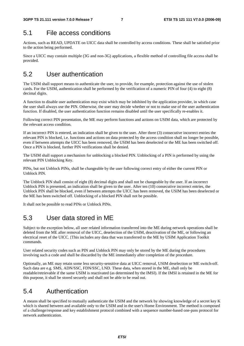### 5.1 File access conditions

Actions, such as READ, UPDATE on UICC data shall be controlled by access conditions. These shall be satisfied prior to the action being performed.

Since a UICC may contain multiple (3G and non-3G) applications, a flexible method of controlling file access shall be provided.

# 5.2 User authentication

The USIM shall support means to authenticate the user, to provide, for example, protection against the use of stolen cards. For the USIM, authentication shall be performed by the verification of a numeric PIN of four (4) to eight (8) decimal digits.

A function to disable user authentication may exist which may be inhibited by the application provider, in which case the user shall always use the PIN. Otherwise, the user may decide whether or not to make use of the user authentication function. If disabled, the user authentication function remains disabled until the user specifically re-enables it.

Following correct PIN presentation, the ME may perform functions and actions on USIM data, which are protected by the relevant access condition.

If an incorrect PIN is entered, an indication shall be given to the user. After three (3) consecutive incorrect entries the relevant PIN is blocked, i.e. functions and actions on data protected by the access condition shall no longer be possible, even if between attempts the UICC has been removed, the USIM has been deselected or the ME has been switched off. Once a PIN is blocked, further PIN verifications shall be denied.

The USIM shall support a mechanism for unblocking a blocked PIN. Unblocking of a PIN is performed by using the relevant PIN Unblocking Key.

PINs, but not Unblock PINs, shall be changeable by the user following correct entry of either the current PIN or Unblock PIN.

The Unblock PIN shall consist of eight (8) decimal digits and shall not be changeable by the user. If an incorrect Unblock PIN is presented, an indication shall be given to the user. After ten (10) consecutive incorrect entries, the Unblock PIN shall be blocked, even if between attempts the UICC has been removed, the USIM has been deselected or the ME has been switched off. Unblocking of a blocked PIN shall not be possible.

It shall not be possible to read PINs or Unblock PINs.

# 5.3 User data stored in ME

Subject to the exception below, all user related information transferred into the ME during network operations shall be deleted from the ME after removal of the UICC, deselection of the USIM, deactivation of the ME, or following an electrical reset of the UICC. [This includes any data that was transferred to the ME by USIM Application Toolkit commands.

User related security codes such as PIN and Unblock PIN may only be stored by the ME during the procedures involving such a code and shall be discarded by the ME immediately after completion of the procedure.

Optionally, an ME may retain some less security-sensitive data at UICC removal, USIM deselection or ME switch-off. Such data are e.g. SMS, ADN/SSC, FDN/SSC, LND. These data, when stored in the ME, shall only be readable/retrievable if the same USIM is reactivated (as determined by the IMSI). If the IMSI is retained in the ME for this purpose, it shall be stored securely and shall not be able to be read out.

## 5.4 Authentication

A means shall be specified to mutually authenticate the USIM and the network by showing knowledge of a secret key K which is shared between and available only to the USIM and in the user's Home Environment. The method is composed of a challenge/response and key establishment protocol combined with a sequence number-based one-pass protocol for network authentication.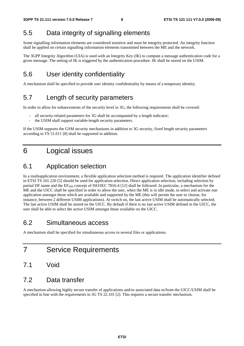# 5.5 Data integrity of signalling elements

Some signalling information elements are considered sensitive and must be integrity protected. An integrity function shall be applied on certain signalling information elements transmitted between the ME and the network.

The 3GPP Integrity Algorithm (UIA) is used with an Integrity Key (IK) to compute a message authentication code for a given message. The setting of IK is triggered by the authentication procedure. IK shall be stored on the USIM.

# 5.6 User identity confidentiality

A mechanism shall be specified to provide user identity confidentiality by means of a temporary identity.

# 5.7 Length of security parameters

In order to allow for enhancements of the security level in 3G, the following requirements shall be covered:

- all security-related parameters for 3G shall be accompanied by a length indicator;
- the USIM shall support variable-length security parameters.

If the USIM supports the GSM security mechanisms in addition to 3G security, fixed length security parameters according to TS 51.011 [8] shall be supported in addition.

# 6 Logical issues

#### 6.1 Application selection

In a multiapplication environment, a flexible application selection method is required. The application identifier defined in ETSI TS 101 220 [5] should be used for application selection. Direct application selection, including selection by partial DF name and the EF<sub>DIR</sub> concept of ISO/IEC 7816-4 [12] shall be followed. In particular, a mechanism for the ME and the UICC shall be specified in order to allow the user, when the ME is in idle mode, to select and activate one application amongst those which are available and supported by the ME (this will permit the user to choose, for instance, between 2 different USIM applications). At switch on, the last active USIM shall be automatically selected. The last active USIM shall be stored on the UICC. By default if there is no last active USIM defined in the UICC, the user shall be able to select the active USIM amongst those available on the UICC.

#### 6.2 Simultaneous access

A mechanism shall be specified for simultaneous access to several files or applications.

- 7 Service Requirements
- 7.1 Void

#### 7.2 Data transfer

A mechanism allowing highly secure transfer of applications and/or associated data to/from the UICC/USIM shall be specified in line with the requirements in 3G TS 22.101 [2]. This requires a secure transfer mechanism.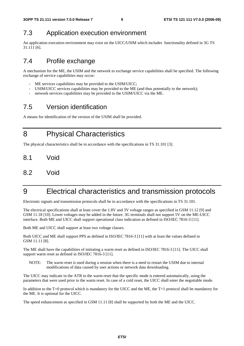### 7.3 Application execution environment

An application execution environment may exist on the UICC/USIM which includes functionality defined in 3G TS 31.111 [6].

### 7.4 Profile exchange

A mechanism for the ME, the USIM and the network to exchange service capabilities shall be specified. The following exchange of service capabilities may occur:

- ME services capabilities may be provided to the USIM/UICC;
- USIM/UICC services capabilities may be provided to the ME (and thus potentially to the network);
- network services capabilities may be provided to the USIM/UICC via the ME.

## 7.5 Version identification

A means for identification of the version of the USIM shall be provided.

8 Physical Characteristics

The physical characteristics shall be in accordance with the specifications in TS 31.101 [3].

- 8.1 Void
- 8.2 Void

# 9 Electrical characteristics and transmission protocols

Electronic signals and transmission protocols shall be in accordance with the specifications in TS 31.101.

The electrical specifications shall at least cover the 1.8V and 3V voltage ranges as specified in GSM 11.12 [9] and GSM 11.18 [10]. Lower voltages may be added in the future. 3G terminals shall not support 5V on the ME-UICC interface. Both ME and UICC shall support operational class indication as defined in ISO/IEC 7816-3 [11].

Both ME and UICC shall support at least two voltage classes.

Both UICC and ME shall support PPS as defined in ISO/IEC 7816-3 [11] with at least the values defined in GSM 11.11 [8].

The ME shall have the capabilities of initiating a warm reset as defined in ISO/IEC 7816-3 [11]. The UICC shall support warm reset as defined in ISO/IEC 7816-3 [11].

NOTE: The warm reset is used during a session when there is a need to restart the USIM due to internal modifications of data caused by user actions or network data downloading.

The UICC may indicate in the ATR to the warm reset that the specific mode is entered automatically, using the parameters that were used prior to the warm reset. In case of a cold reset, the UICC shall enter the negotiable mode.

In addition to the T=0 protocol which is mandatory for the UICC and the ME, the T=1 protocol shall be mandatory for the ME. It is optional for the UICC.

The speed enhancement as specified in GSM 11.11 [8] shall be supported by both the ME and the UICC.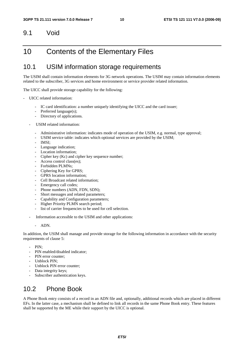#### 9.1 Void

### 10 Contents of the Elementary Files

#### 10.1 USIM information storage requirements

The USIM shall contain information elements for 3G network operations. The USIM may contain information elements related to the subscriber, 3G services and home environment or service provider related information.

The UICC shall provide storage capability for the following:

- UICC related information:
	- IC card identification: a number uniquely identifying the UICC and the card issuer;
	- Preferred language(s);
	- Directory of applications.
	- USIM related information:
		- Administrative information: indicates mode of operation of the USIM, e.g. normal, type approval;
		- USIM service table: indicates which optional services are provided by the USIM;
		- IMSI:
		- Language indication;
		- Location information:
		- Cipher key (Kc) and cipher key sequence number;
		- Access control class(es);
		- Forbidden PLMNs;
		- Ciphering Key for GPRS;
		- GPRS location information:
		- Cell Broadcast related information:
		- Emergency call codes;
		- Phone numbers (ADN, FDN, SDN);
		- Short messages and related parameters;
		- Capability and Configuration parameters;
		- Higher Priority PLMN search period;
		- list of carrier frequencies to be used for cell selection.
	- Information accessible to the USIM and other applications:
		- ADN.

In addition, the USIM shall manage and provide storage for the following information in accordance with the security requirements of clause 5:

- PIN:
- PIN enabled/disabled indicator;
- PIN error counter:
- Unblock PIN;
- Unblock PIN error counter;
- Data integrity keys;
- Subscriber authentication keys.

#### 10.2 Phone Book

A Phone Book entry consists of a record in an ADN file and, optionally, additional records which are placed in different EFs. In the latter case, a mechanism shall be defined to link all records in the same Phone Book entry. These features shall be supported by the ME while their support by the UICC is optional.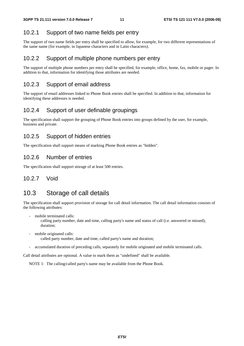#### 10.2.1 Support of two name fields per entry

The support of two name fields per entry shall be specified to allow, for example, for two different representations of the same name (for example, in Japanese characters and in Latin characters).

#### 10.2.2 Support of multiple phone numbers per entry

The support of multiple phone numbers per entry shall be specified, for example, office, home, fax, mobile or pager. In addition to that, information for identifying those attributes are needed.

#### 10.2.3 Support of email address

The support of email addresses linked to Phone Book entries shall be specified. In addition to that, information for identifying these addresses is needed.

#### 10.2.4 Support of user definable groupings

The specification shall support the grouping of Phone Book entries into groups defined by the user, for example, business and private.

#### 10.2.5 Support of hidden entries

The specification shall support means of marking Phone Book entries as "hidden".

#### 10.2.6 Number of entries

The specification shall support storage of at least 500 entries.

#### 10.2.7 Void

#### 10.3 Storage of call details

The specification shall support provision of storage for call detail information. The call detail information consists of the following attributes:

mobile terminated calls:

 calling party number, date and time, calling party's name and status of call (i.e. answered or missed), duration;

- mobile originated calls: called party number, date and time, called party's name and duration;
- accumulated duration of preceding calls, separately for mobile originated and mobile terminated calls.

Call detail attributes are optional. A value to mark them as "undefined" shall be available.

NOTE 1: The calling/called party's name may be available from the Phone Book.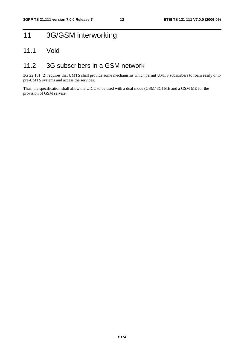# 11 3G/GSM interworking

#### 11.1 Void

#### 11.2 3G subscribers in a GSM network

3G 22.101 [2] requires that UMTS shall provide some mechanisms which permit UMTS subscribers to roam easily onto pre-UMTS systems and access the services.

Thus, the specification shall allow the UICC to be used with a dual mode (GSM/ 3G) ME and a GSM ME for the provision of GSM service.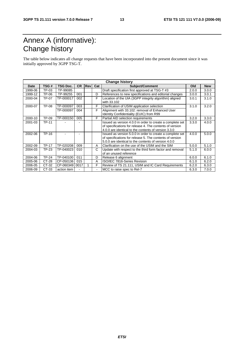# Annex A (informative): Change history

The table below indicates all change requests that have been incorporated into the present document since it was initially approved by 3GPP TSG-T.

| <b>Change history</b> |              |                 |           |     |     |                                                                                                                                                                               |       |            |
|-----------------------|--------------|-----------------|-----------|-----|-----|-------------------------------------------------------------------------------------------------------------------------------------------------------------------------------|-------|------------|
| Date                  | TSG#         | <b>TSG Doc.</b> | <b>CR</b> | Rev | Cat | Subject/Comment                                                                                                                                                               | Old   | <b>New</b> |
| 1999-06               | TP-03        | TP-99085        |           |     |     | Draft specification first approved at TSG-T #3                                                                                                                                | 2.0.0 | 3.0.0      |
| 1999-12               | TP-06        | TP-99255        | 001       |     | D   | References to new specifications and editorial changes                                                                                                                        | 3.0.0 | 3.0.1      |
| 2000-04               | TP-07        | TP-000017       | 002       |     | F   | Location of the UIA (3GPP integrity algorithm) aligned<br>with 33.102                                                                                                         | 3.0.1 | 3.1.0      |
| 2000-07               | TP-08        | TP-000097       | 003       |     | F   | Clarification of USIM application selection                                                                                                                                   | 3.1.0 | 3.2.0      |
|                       |              | TP-000097       | 004       |     | F   | Alignment with 33.102: removal of Enhanced User<br>Identity Confidentiality (EUIC) from R99                                                                                   |       |            |
| 2000-10               | TP-09        | TP-000150       | 005       |     | F   | Partial AID selection requirements                                                                                                                                            | 3.2.0 | 3.3.0      |
| 2001-03               | <b>TP-11</b> |                 |           |     |     | Issued as version 4.0.0 in order to create a complete set<br>of specifications for release 4. The contents of version<br>4.0.0 are identical to the contents of version 3.3.0 | 3.3.0 | 4.0.0      |
| 2002-06               | TP-16        |                 | ۰         |     |     | Issued as version 5.0.0 in order to create a complete set<br>of specifications for release 5. The contents of version<br>5.0.0 are identical to the contents of version 4.0.0 | 4.0.0 | 5.0.0      |
| 2002-09               | <b>TP-17</b> | TP-020208       | 009       |     | A   | Clarification on the use of the USIM and the SIM                                                                                                                              | 5.0.0 | 5.1.0      |
| 2004-03               | TP-23        | TP-040023       | 010       |     | C   | Update with respect to the third form factor and removal<br>of an unused reference                                                                                            | 5.1.0 | 6.0.0      |
| 2004-06               | <b>TP-24</b> | TP-040100       | 011       |     | D   | Release 6 alignment                                                                                                                                                           | 6.0.0 | 6.1.0      |
| 2005-06               | CT-28        | CP-050136       | 015       |     | A   | ISO/IEC 7816-Series Revision                                                                                                                                                  | 6.1.0 | 6.2.0      |
| 2006-05               | CT-32        | CP-060349       | 0017      |     | F   | Review of TS 21.111, USIM and IC Card Requirements                                                                                                                            | 6.2.0 | 6.3.0      |
| 2006-09               | CT-33        | action item     |           |     |     | MCC to raise spec to Rel-7                                                                                                                                                    | 6.3.0 | 7.0.0      |